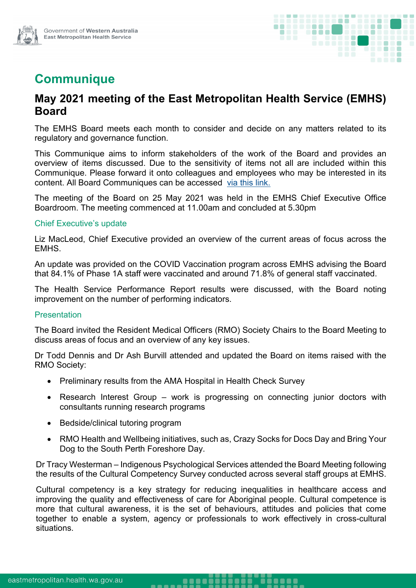

# **Communique**

## **May 2021 meeting of the East Metropolitan Health Service (EMHS) Board**

The EMHS Board meets each month to consider and decide on any matters related to its regulatory and governance function.

This Communique aims to inform stakeholders of the work of the Board and provides an overview of items discussed. Due to the sensitivity of items not all are included within this Communique. Please forward it onto colleagues and employees who may be interested in its content. All Board Communiques can be accessed [via this link.](https://emhs.health.wa.gov.au/About-Us/Health-Service-Board)

The meeting of the Board on 25 May 2021 was held in the EMHS Chief Executive Office Boardroom. The meeting commenced at 11.00am and concluded at 5.30pm

### Chief Executive's update

Liz MacLeod, Chief Executive provided an overview of the current areas of focus across the EMHS.

An update was provided on the COVID Vaccination program across EMHS advising the Board that 84.1% of Phase 1A staff were vaccinated and around 71.8% of general staff vaccinated.

The Health Service Performance Report results were discussed, with the Board noting improvement on the number of performing indicators.

### **Presentation**

The Board invited the Resident Medical Officers (RMO) Society Chairs to the Board Meeting to discuss areas of focus and an overview of any key issues.

Dr Todd Dennis and Dr Ash Burvill attended and updated the Board on items raised with the RMO Society:

• Preliminary results from the AMA Hospital in Health Check Survey

-----

- Research Interest Group work is progressing on connecting junior doctors with consultants running research programs
- Bedside/clinical tutoring program
- RMO Health and Wellbeing initiatives, such as, Crazy Socks for Docs Day and Bring Your Dog to the South Perth Foreshore Day.

Dr Tracy Westerman – Indigenous Psychological Services attended the Board Meeting following the results of the Cultural Competency Survey conducted across several staff groups at EMHS.

Cultural competency is a key strategy for reducing inequalities in healthcare access and improving the quality and effectiveness of care for Aboriginal people. Cultural competence is more that cultural awareness, it is the set of behaviours, attitudes and policies that come together to enable a system, agency or professionals to work effectively in cross-cultural situations.